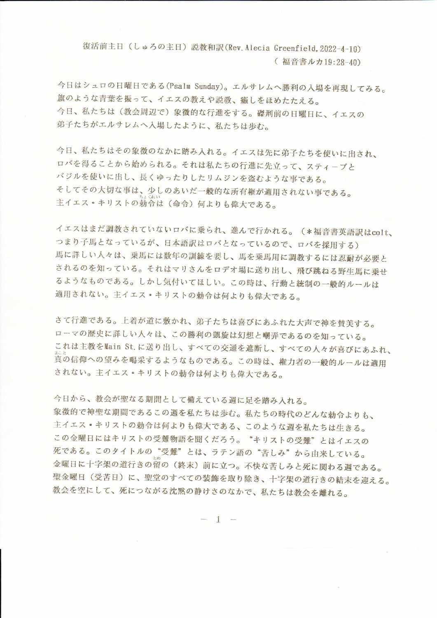復活前主日 (しゅろの主日) 説教和訳(Rev. Alecia Greenfield, 2022-4-10)

(福音書ルカ19:28-40)

今日はシュロの日曜日である(Psalm Sunday)。エルサレムへ勝利の入場を再現してみる。 旗のような青葉を振って、イエスの教えや説教、癒しをほめたたえる。 今日、私たちは(教会周辺で)象徴的な行進をする。磔刑前の日曜日に、イエスの 弟子たちがエルサレムへ入場したように、私たちは歩む。

今日、私たちはその象徴のなかに踏み入れる。イエスは先に弟子たちを使いに出され、 ロバを得ることから始められる。それは私たちの行進に先立って、スティーブと バジルを使いに出し、長くゆったりしたリムジンを盗むような事である。 そしてその大切な事は、少しのあいだ一般的な所有権が適用されない事である。 主イエス·キリストの勅令は(命令)何よりも偉大である。

イエスはまだ調教されていないロバに乗られ、進んで行かれる。(\*福音書英語訳はcolt、 つまり子馬となっているが、日本語訳はロバとなっているので、ロバを採用する) 馬に詳しい人々は、乗馬には数年の訓練を要し、馬を乗馬用に調教するには忍耐が必要と されるのを知っている。それはマリさんをロデオ場に送り出し、飛び跳ねる野生馬に乗せ るようなものである。しかし気付いてほしい。この時は、行動と統制の一般的ルールは 適用されない。主イエス·キリストの勅令は何よりも偉大である。

さて行進である。上着が道に敷かれ、弟子たちは喜びにあふれた大声で神を賛美する。 ローマの歴史に詳しい人々は、この勝利の凱旋は幻想と嘲弄であるのを知っている。 これは主教をMain St.に送り出し、すべての交通を遮断し、すべての人々が喜びにあふれ、 真の信仰への望みを喝采するようなものである。この時は、権力者の一般的ルールは適用 されない。主イエス。キリストの勅令は何よりも偉大である。

今日から、教会が聖なる期間として備えている週に足を踏み入れる。 象徴的で神聖な期間であるこの週を私たちは歩む。私たちの時代のどんな勅令よりも、 主イエス・キリストの勅令は何よりも偉大である、このような週を私たちは生きる。 この金曜日にはキリストの受難物語を聞くだろう。"キリストの受難"とはイエスの 死である。このタイトルの"受難"とは、ラテン語の"苦しみ"から由来している。 金曜日に十字架の道行きの留の(終末)前に立つ。不快な苦しみと死に関わる週である。 聖金曜日(受苦日)に、聖堂のすべての装飾を取り除き、十字架の道行きの結末を迎える。 教会を空にして、死につながる沈黙の静けさのなかで、私たちは教会を離れる。

 $1 -$